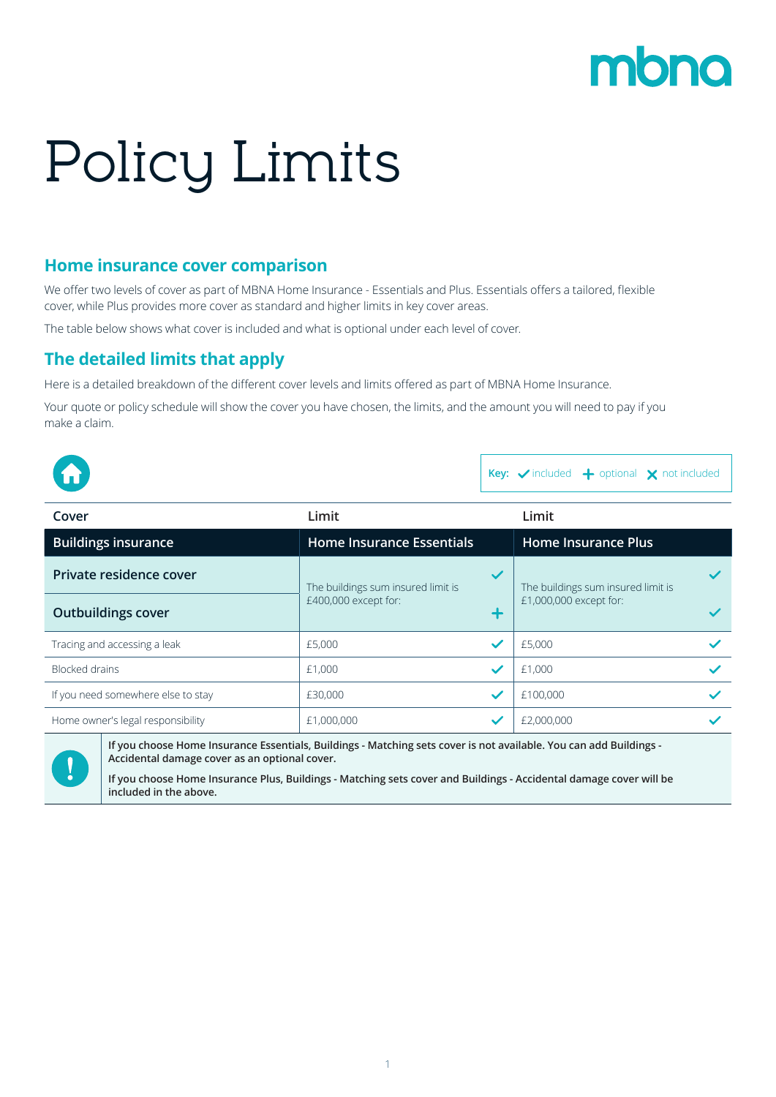## mbno

# Policy Limits

#### **Home insurance cover comparison**

We offer two levels of cover as part of MBNA Home Insurance - Essentials and Plus. Essentials offers a tailored, flexible cover, while Plus provides more cover as standard and higher limits in key cover areas.

The table below shows what cover is included and what is optional under each level of cover.

#### **The detailed limits that apply**

Here is a detailed breakdown of the different cover levels and limits offered as part of MBNA Home Insurance.

Your quote or policy schedule will show the cover you have chosen, the limits, and the amount you will need to pay if you make a claim.

|  |  |  | <b>Key:</b> $\checkmark$ included $\biguparrow$ optional $\bigtimes$ not included |
|--|--|--|-----------------------------------------------------------------------------------|
|--|--|--|-----------------------------------------------------------------------------------|

| Limit                              |              | Limit                              |              |
|------------------------------------|--------------|------------------------------------|--------------|
| <b>Home Insurance Essentials</b>   |              | <b>Home Insurance Plus</b>         |              |
| The buildings sum insured limit is | $\checkmark$ | The buildings sum insured limit is |              |
| £400,000 except for:               |              | £1,000,000 except for:             |              |
| £5,000                             | $\checkmark$ | £5,000                             |              |
| £1,000                             | $\checkmark$ | £1,000                             | $\checkmark$ |
| £30,000                            | $\checkmark$ | £100,000                           |              |
| £1,000,000                         |              | £2,000,000                         |              |
|                                    |              |                                    |              |



**If you choose Home Insurance Essentials, Buildings - Matching sets cover is not available. You can add Buildings - Accidental damage cover as an optional cover.**

**If you choose Home Insurance Plus, Buildings - Matching sets cover and Buildings - Accidental damage cover will be included in the above.**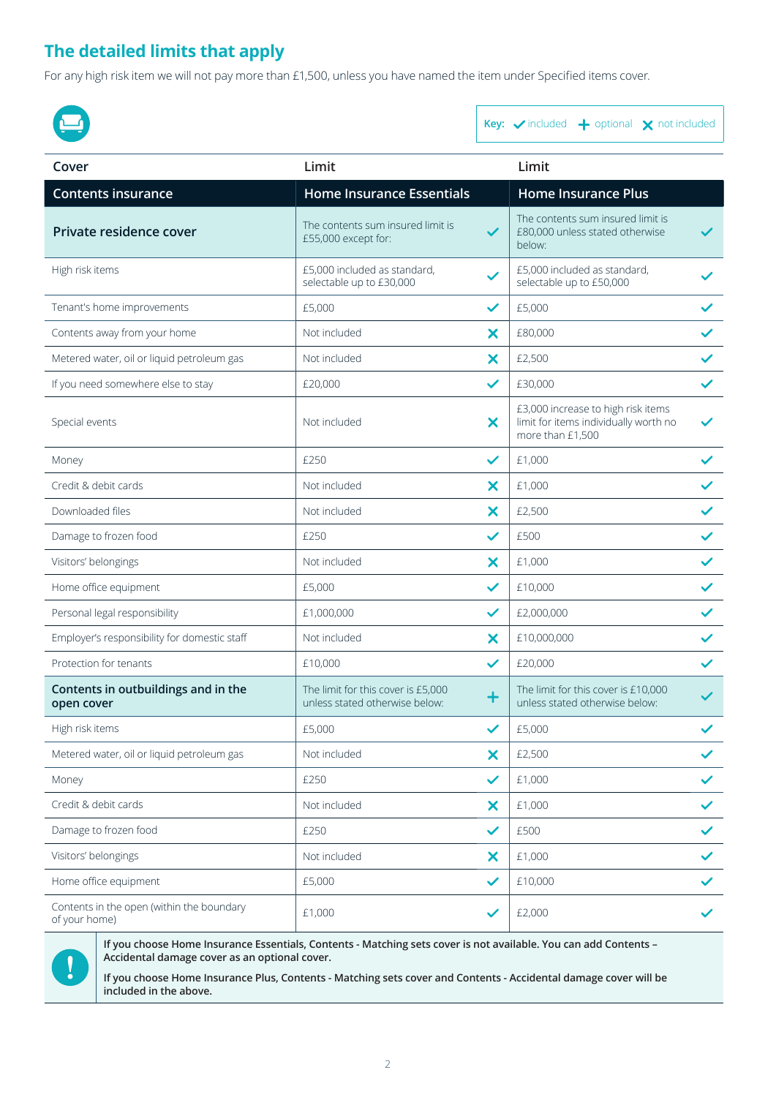#### **The detailed limits that apply**

For any high risk item we will not pay more than £1,500, unless you have named the item under Specified items cover.



Key:  $\checkmark$  included  $\underset{}{\leftarrow}$  optional  $\underset{}{\leftarrow}$  not included

| Cover                                                      | Limit                                                                |                           | Limit                                                                                           |              |
|------------------------------------------------------------|----------------------------------------------------------------------|---------------------------|-------------------------------------------------------------------------------------------------|--------------|
| <b>Contents insurance</b>                                  | <b>Home Insurance Essentials</b>                                     |                           | <b>Home Insurance Plus</b>                                                                      |              |
| Private residence cover                                    | The contents sum insured limit is<br>£55,000 except for:             | $\checkmark$              | The contents sum insured limit is<br>£80,000 unless stated otherwise<br>below:                  |              |
| High risk items                                            | £5,000 included as standard,<br>selectable up to £30,000             | $\checkmark$              | £5,000 included as standard,<br>selectable up to £50,000                                        |              |
| Tenant's home improvements                                 | £5,000                                                               | $\checkmark$              | £5,000                                                                                          |              |
| Contents away from your home                               | Not included                                                         | X                         | £80,000                                                                                         |              |
| Metered water, oil or liquid petroleum gas                 | Not included                                                         | X                         | £2,500                                                                                          | $\checkmark$ |
| If you need somewhere else to stay                         | £20,000                                                              | $\checkmark$              | £30,000                                                                                         | $\checkmark$ |
| Special events                                             | Not included                                                         | $\boldsymbol{\mathsf{x}}$ | £3,000 increase to high risk items<br>limit for items individually worth no<br>more than £1,500 |              |
| Money                                                      | £250                                                                 | $\checkmark$              | £1,000                                                                                          |              |
| Credit & debit cards                                       | Not included                                                         | X                         | £1,000                                                                                          |              |
| Downloaded files                                           | Not included                                                         | X                         | £2,500                                                                                          | $\checkmark$ |
| Damage to frozen food                                      | £250                                                                 | $\checkmark$              | £500                                                                                            | $\checkmark$ |
| Visitors' belongings                                       | Not included                                                         | X                         | £1,000                                                                                          | $\checkmark$ |
| Home office equipment                                      | £5,000                                                               | $\checkmark$              | £10,000                                                                                         | $\checkmark$ |
| Personal legal responsibility                              | £1,000,000                                                           | $\checkmark$              | £2,000,000                                                                                      | $\checkmark$ |
| Employer's responsibility for domestic staff               | Not included                                                         | X                         | £10,000,000                                                                                     | $\checkmark$ |
| Protection for tenants                                     | £10,000                                                              | $\checkmark$              | £20,000                                                                                         | $\checkmark$ |
| Contents in outbuildings and in the<br>open cover          | The limit for this cover is £5,000<br>unless stated otherwise below: | $\mathbf +$               | The limit for this cover is £10,000<br>unless stated otherwise below:                           |              |
| High risk items                                            | £5,000                                                               | $\checkmark$              | £5,000                                                                                          |              |
| Metered water, oil or liquid petroleum gas                 | Not included                                                         | X                         | £2,500                                                                                          | $\checkmark$ |
| Money                                                      | £250                                                                 | $\checkmark$              | £1,000                                                                                          |              |
| Credit & debit cards                                       | Not included                                                         | X                         | £1,000                                                                                          | $\checkmark$ |
| Damage to frozen food                                      | £250                                                                 | $\checkmark$              | £500                                                                                            | $\checkmark$ |
| Visitors' belongings                                       | Not included                                                         | X                         | £1,000                                                                                          | $\checkmark$ |
| Home office equipment                                      | £5,000                                                               | $\checkmark$              | £10,000                                                                                         | $\checkmark$ |
| Contents in the open (within the boundary<br>of your home) | £1,000                                                               |                           | £2,000                                                                                          |              |



**If you choose Home Insurance Essentials, Contents - Matching sets cover is not available. You can add Contents – Accidental damage cover as an optional cover.**

**If you choose Home Insurance Plus, Contents - Matching sets cover and Contents - Accidental damage cover will be included in the above.**